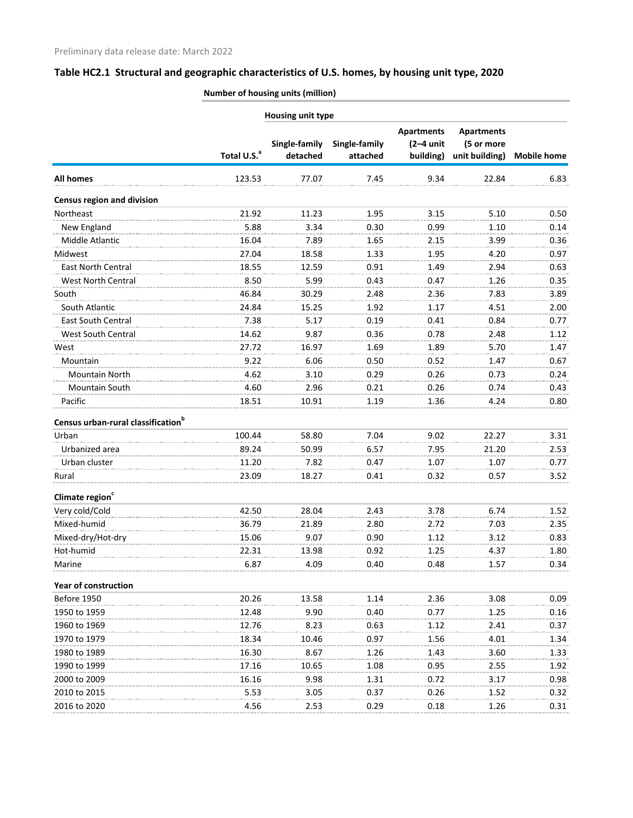**Number of housing units (million)**

| Housing unit type                              |                         |                           |                           |                                               |                                                   |                    |
|------------------------------------------------|-------------------------|---------------------------|---------------------------|-----------------------------------------------|---------------------------------------------------|--------------------|
|                                                | Total U.S. <sup>a</sup> | Single-family<br>detached | Single-family<br>attached | <b>Apartments</b><br>$(2-4$ unit<br>building) | <b>Apartments</b><br>(5 or more<br>unit building) | <b>Mobile home</b> |
| <b>All homes</b>                               | 123.53                  | 77.07                     | 7.45                      | 9.34                                          | 22.84                                             | 6.83               |
| <b>Census region and division</b>              |                         |                           |                           |                                               |                                                   |                    |
| Northeast                                      | 21.92                   | 11.23                     | 1.95                      | 3.15                                          | 5.10                                              | 0.50               |
| New England                                    | 5.88                    | 3.34                      | 0.30                      | 0.99                                          | 1.10                                              | 0.14               |
| Middle Atlantic                                | 16.04                   | 7.89                      | 1.65                      | 2.15                                          | 3.99                                              | 0.36               |
| Midwest                                        | 27.04                   | 18.58                     | 1.33                      | 1.95                                          | 4.20                                              | 0.97               |
| East North Central                             | 18.55                   | 12.59                     | 0.91                      | 1.49                                          | 2.94                                              | 0.63               |
| West North Central                             | 8.50                    | 5.99                      | 0.43                      | 0.47                                          | 1.26                                              | 0.35               |
| South                                          | 46.84                   | 30.29                     | 2.48                      | 2.36                                          | 7.83                                              | 3.89               |
| South Atlantic                                 | 24.84                   | 15.25                     | 1.92                      | 1.17                                          | 4.51                                              | 2.00               |
| East South Central                             | 7.38                    | 5.17                      | 0.19                      | 0.41                                          | 0.84                                              | 0.77               |
| <b>West South Central</b>                      | 14.62                   | 9.87                      | 0.36                      | 0.78                                          | 2.48                                              | 1.12               |
| West                                           | 27.72                   | 16.97                     | 1.69                      | 1.89                                          | 5.70                                              | 1.47               |
| Mountain                                       | 9.22                    | 6.06                      | 0.50                      | 0.52                                          | 1.47                                              | 0.67               |
| Mountain North                                 | 4.62                    | 3.10                      | 0.29                      | 0.26                                          | 0.73                                              | 0.24               |
| <b>Mountain South</b>                          | 4.60                    | 2.96                      | 0.21                      | 0.26                                          | 0.74                                              | 0.43               |
| Pacific                                        | 18.51                   | 10.91                     | 1.19                      | 1.36                                          | 4.24                                              | 0.80               |
| Census urban-rural classification <sup>b</sup> |                         |                           |                           |                                               |                                                   |                    |
| Urban                                          | 100.44                  | 58.80                     | 7.04                      | 9.02                                          | 22.27                                             | 3.31               |
| Urbanized area                                 | 89.24                   | 50.99                     | 6.57                      | 7.95                                          | 21.20                                             | 2.53               |
| Urban cluster                                  | 11.20                   | 7.82                      | 0.47                      | 1.07                                          | 1.07                                              | 0.77               |
| Rural                                          | 23.09                   | 18.27                     | 0.41                      | 0.32                                          | 0.57                                              | 3.52               |
| Climate region <sup>c</sup>                    |                         |                           |                           |                                               |                                                   |                    |
| Very cold/Cold                                 | 42.50                   | 28.04                     | 2.43                      | 3.78                                          | 6.74                                              | 1.52               |
| Mixed-humid                                    | 36.79                   | 21.89                     | 2.80                      | 2.72                                          | 7.03                                              | 2.35               |
| Mixed-dry/Hot-dry                              | 15.06                   | 9.07                      | 0.90                      | 1.12                                          | 3.12                                              | 0.83               |
| Hot-humid                                      | 22.31                   | 13.98                     | 0.92                      | 1.25                                          | 4.37                                              | 1.80               |
| Marine                                         | 6.87                    | 4.09                      | 0.40                      | 0.48                                          | 1.57                                              | 0.34               |
| <b>Year of construction</b>                    |                         |                           |                           |                                               |                                                   |                    |
| Before 1950                                    | 20.26                   | 13.58                     | 1.14                      | 2.36                                          | 3.08                                              | 0.09               |
| 1950 to 1959                                   | 12.48                   | 9.90                      | 0.40                      | 0.77                                          | 1.25                                              | 0.16               |
| 1960 to 1969                                   | 12.76                   | 8.23                      | 0.63                      | 1.12                                          | 2.41                                              | 0.37               |
| 1970 to 1979                                   | 18.34                   | 10.46                     | 0.97                      | 1.56                                          | 4.01                                              | 1.34               |
| 1980 to 1989                                   | 16.30                   | 8.67                      | 1.26                      | 1.43                                          | 3.60                                              | 1.33               |
| 1990 to 1999                                   | 17.16                   | 10.65                     | 1.08                      | 0.95                                          | 2.55                                              | 1.92               |
| 2000 to 2009                                   | 16.16                   | 9.98                      | 1.31                      | 0.72                                          | 3.17                                              | 0.98               |
| 2010 to 2015                                   | 5.53                    | 3.05                      | 0.37                      | 0.26                                          | 1.52                                              | 0.32               |
| 2016 to 2020                                   | 4.56                    | 2.53                      | 0.29                      | 0.18                                          | 1.26                                              | 0.31               |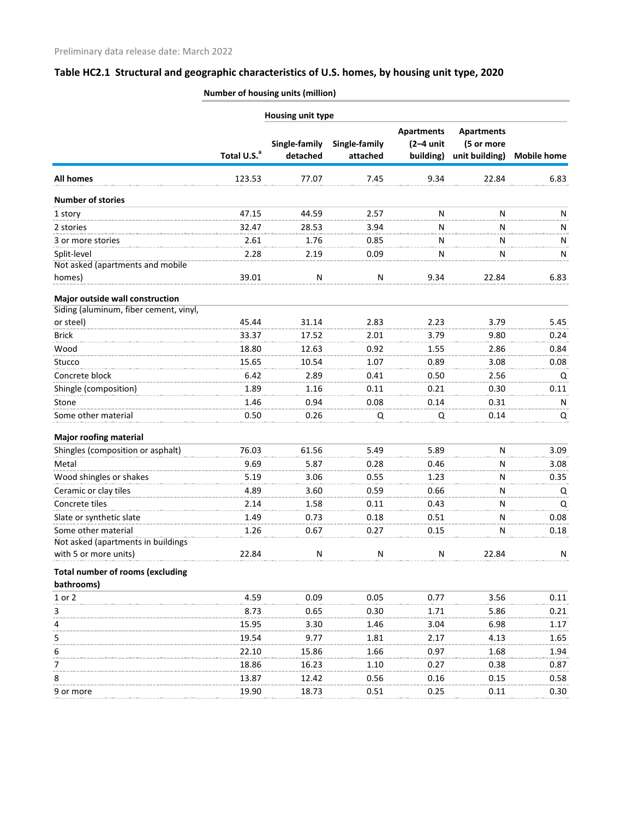**Number of housing units (million)**

|                                                     |                         | Housing unit type         |                           |                                               |                                                   |                    |
|-----------------------------------------------------|-------------------------|---------------------------|---------------------------|-----------------------------------------------|---------------------------------------------------|--------------------|
|                                                     | Total U.S. <sup>a</sup> | Single-family<br>detached | Single-family<br>attached | <b>Apartments</b><br>$(2-4$ unit<br>building) | <b>Apartments</b><br>(5 or more<br>unit building) | <b>Mobile home</b> |
| <b>All homes</b>                                    | 123.53                  | 77.07                     | 7.45                      | 9.34                                          | 22.84                                             | 6.83               |
| <b>Number of stories</b>                            |                         |                           |                           |                                               |                                                   |                    |
| 1 story                                             | 47.15                   | 44.59                     | 2.57                      | N                                             | N                                                 | N                  |
| 2 stories                                           | 32.47                   | 28.53                     | 3.94                      | N                                             | N                                                 | N                  |
| 3 or more stories                                   | 2.61                    | 1.76                      | 0.85                      | N                                             | N                                                 | Ν                  |
| Split-level                                         | 2.28                    | 2.19                      | 0.09                      | N                                             | N                                                 | N                  |
| Not asked (apartments and mobile                    |                         |                           |                           |                                               |                                                   |                    |
| homes)                                              | 39.01                   | N                         | N                         | 9.34                                          | 22.84                                             | 6.83               |
| Major outside wall construction                     |                         |                           |                           |                                               |                                                   |                    |
| Siding (aluminum, fiber cement, vinyl,<br>or steel) | 45.44                   | 31.14                     | 2.83                      | 2.23                                          | 3.79                                              | 5.45               |
| <b>Brick</b>                                        | 33.37                   | 17.52                     | 2.01                      | 3.79                                          | 9.80                                              | 0.24               |
| Wood                                                | 18.80                   | 12.63                     | 0.92                      | 1.55                                          | 2.86                                              | 0.84               |
|                                                     |                         |                           |                           |                                               |                                                   |                    |
| Stucco                                              | 15.65                   | 10.54                     | 1.07                      | 0.89                                          | 3.08                                              | 0.08               |
| Concrete block                                      | 6.42                    | 2.89                      | 0.41                      | 0.50                                          | 2.56                                              | Q                  |
| Shingle (composition)                               | 1.89                    | 1.16                      | 0.11                      | 0.21                                          | 0.30                                              | 0.11               |
| Stone                                               | 1.46                    | 0.94                      | 0.08                      | 0.14                                          | 0.31                                              | N                  |
| Some other material                                 | 0.50                    | 0.26                      | Q                         | Q                                             | 0.14                                              | Q                  |
| <b>Major roofing material</b>                       |                         |                           |                           |                                               |                                                   |                    |
| Shingles (composition or asphalt)                   | 76.03                   | 61.56                     | 5.49                      | 5.89                                          | N                                                 | 3.09               |
| Metal                                               | 9.69                    | 5.87                      | 0.28                      | 0.46                                          | N                                                 | 3.08               |
| Wood shingles or shakes                             | 5.19                    | 3.06                      | 0.55                      | 1.23                                          | N                                                 | 0.35               |
| Ceramic or clay tiles                               | 4.89                    | 3.60                      | 0.59                      | 0.66                                          | N                                                 | Q                  |
| Concrete tiles                                      | 2.14                    | 1.58                      | 0.11                      | 0.43                                          | N                                                 | Q                  |
| Slate or synthetic slate                            | 1.49                    | 0.73                      | 0.18                      | 0.51                                          | N                                                 | 0.08               |
| Some other material                                 | 1.26                    | 0.67                      | 0.27                      | 0.15                                          |                                                   | 0.18               |
| Not asked (apartments in buildings                  |                         |                           |                           |                                               |                                                   |                    |
| with 5 or more units)                               | 22.84                   | ${\sf N}$                 | N                         | N                                             | 22.84                                             | N                  |
| <b>Total number of rooms (excluding</b>             |                         |                           |                           |                                               |                                                   |                    |
| bathrooms)                                          |                         |                           |                           |                                               |                                                   |                    |
| 1 or 2                                              | 4.59                    | 0.09                      | 0.05                      | 0.77                                          | 3.56                                              | 0.11               |
| 3                                                   | 8.73                    | 0.65                      | 0.30                      | 1.71                                          | 5.86                                              | 0.21               |
| 4                                                   | 15.95                   | 3.30                      | 1.46                      | 3.04                                          | 6.98                                              | 1.17               |
| 5                                                   | 19.54                   | 9.77                      | 1.81                      | 2.17                                          | 4.13                                              | 1.65               |
| 6                                                   | 22.10                   | 15.86                     | 1.66                      | 0.97                                          | 1.68                                              | 1.94               |
| 7                                                   | 18.86                   | 16.23                     | 1.10                      | 0.27                                          | 0.38                                              | 0.87               |
| 8                                                   | 13.87                   | 12.42                     | 0.56                      | 0.16                                          | 0.15                                              | 0.58               |
| 9 or more                                           | 19.90                   | 18.73                     | 0.51                      | 0.25                                          | 0.11                                              | 0.30               |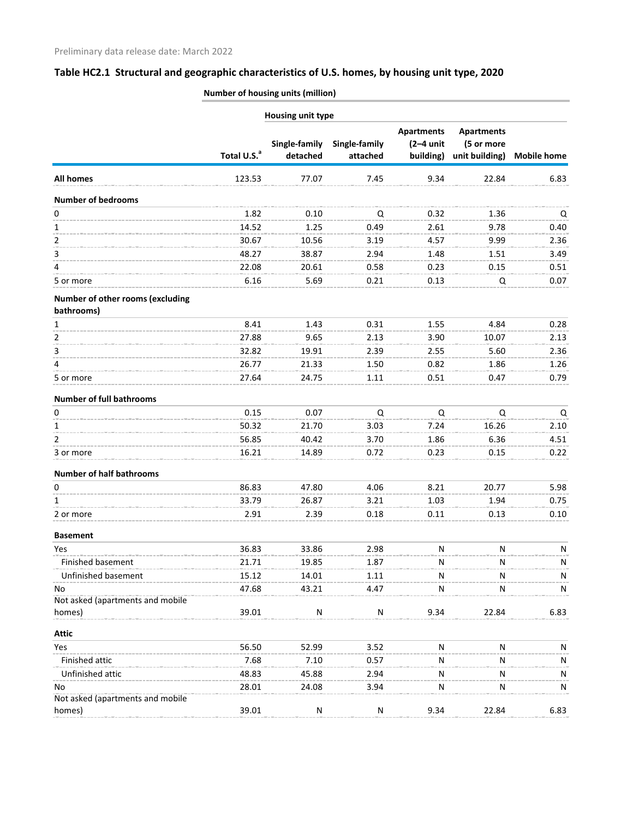| <b>Number of housing units (million)</b> |  |
|------------------------------------------|--|
|                                          |  |

| Single-family<br>Total U.S. <sup>a</sup><br>detached<br>All homes<br>123.53<br>77.07<br><b>Number of bedrooms</b><br>0<br>1.82<br>0.10<br>14.52<br>1<br>1.25 | Single-family<br>attached<br>7.45<br>Q<br>0.49<br>3.19<br>2.94<br>0.58<br>0.21 | <b>Apartments</b><br>$(2-4$ unit<br>building)<br>9.34<br>0.32<br>2.61<br>4.57<br>1.48<br>0.23 | <b>Apartments</b><br>(5 or more<br>unit building)<br>22.84<br>1.36<br>9.78<br>9.99 | <b>Mobile home</b><br>6.83<br>Q<br>0.40 |
|--------------------------------------------------------------------------------------------------------------------------------------------------------------|--------------------------------------------------------------------------------|-----------------------------------------------------------------------------------------------|------------------------------------------------------------------------------------|-----------------------------------------|
|                                                                                                                                                              |                                                                                |                                                                                               |                                                                                    |                                         |
|                                                                                                                                                              |                                                                                |                                                                                               |                                                                                    |                                         |
|                                                                                                                                                              |                                                                                |                                                                                               |                                                                                    |                                         |
|                                                                                                                                                              |                                                                                |                                                                                               |                                                                                    |                                         |
|                                                                                                                                                              |                                                                                |                                                                                               |                                                                                    |                                         |
| 2<br>30.67<br>10.56                                                                                                                                          |                                                                                |                                                                                               |                                                                                    | 2.36                                    |
| 48.27<br>38.87<br>3                                                                                                                                          |                                                                                |                                                                                               | 1.51                                                                               | 3.49                                    |
| 4<br>22.08<br>20.61                                                                                                                                          |                                                                                |                                                                                               | 0.15                                                                               | 0.51                                    |
| 6.16<br>5.69<br>5 or more                                                                                                                                    |                                                                                | 0.13                                                                                          | Q                                                                                  | 0.07                                    |
| Number of other rooms (excluding<br>bathrooms)                                                                                                               |                                                                                |                                                                                               |                                                                                    |                                         |
| 8.41<br>1.43<br>1                                                                                                                                            | 0.31                                                                           | 1.55                                                                                          | 4.84                                                                               | 0.28                                    |
| 2<br>27.88<br>9.65                                                                                                                                           | 2.13                                                                           | 3.90                                                                                          | 10.07                                                                              | 2.13                                    |
| 3<br>32.82<br>19.91                                                                                                                                          | 2.39                                                                           | 2.55                                                                                          | 5.60                                                                               | 2.36                                    |
| 26.77<br>21.33<br>4                                                                                                                                          | 1.50                                                                           | 0.82                                                                                          | 1.86                                                                               | 1.26                                    |
| 27.64<br>24.75<br>5 or more                                                                                                                                  | 1.11                                                                           | 0.51                                                                                          | 0.47                                                                               | 0.79                                    |
| <b>Number of full bathrooms</b>                                                                                                                              |                                                                                |                                                                                               |                                                                                    |                                         |
| 0.15<br>0<br>0.07                                                                                                                                            | Q                                                                              | Q                                                                                             | Q                                                                                  | Q                                       |
| 50.32<br>21.70<br>1                                                                                                                                          | 3.03                                                                           | 7.24                                                                                          | 16.26                                                                              | 2.10                                    |
| $\overline{2}$<br>56.85<br>40.42                                                                                                                             | 3.70                                                                           | 1.86                                                                                          | 6.36                                                                               | 4.51                                    |
| 16.21<br>3 or more<br>14.89                                                                                                                                  | 0.72                                                                           | 0.23                                                                                          | 0.15                                                                               | 0.22                                    |
| <b>Number of half bathrooms</b>                                                                                                                              |                                                                                |                                                                                               |                                                                                    |                                         |
| 86.83<br>47.80<br>0                                                                                                                                          | 4.06                                                                           | 8.21                                                                                          | 20.77                                                                              | 5.98                                    |
| 33.79<br>26.87<br>1                                                                                                                                          | 3.21                                                                           | 1.03                                                                                          | 1.94                                                                               | 0.75                                    |
| 2.91<br>2.39<br>2 or more                                                                                                                                    | 0.18                                                                           | 0.11                                                                                          | 0.13                                                                               | 0.10                                    |
| <b>Basement</b>                                                                                                                                              |                                                                                |                                                                                               |                                                                                    |                                         |
| Yes<br>36.83<br>33.86                                                                                                                                        | 2.98                                                                           | N                                                                                             | N                                                                                  | ${\sf N}$                               |
| Finished basement<br>21.71<br>19.85                                                                                                                          | 1.87                                                                           | N                                                                                             |                                                                                    | N                                       |
| Unfinished basement<br>15.12<br>14.01                                                                                                                        | 1.11                                                                           | N                                                                                             |                                                                                    | N                                       |
| 47.68<br>No<br>43.21                                                                                                                                         | 4.47                                                                           | N                                                                                             | N                                                                                  | N                                       |
| Not asked (apartments and mobile                                                                                                                             |                                                                                |                                                                                               |                                                                                    |                                         |
| homes)<br>39.01<br>${\sf N}$                                                                                                                                 | ${\sf N}$                                                                      | 9.34                                                                                          | 22.84                                                                              | 6.83                                    |
| <b>Attic</b>                                                                                                                                                 |                                                                                |                                                                                               |                                                                                    |                                         |
| Yes<br>56.50<br>52.99                                                                                                                                        | 3.52                                                                           | N                                                                                             | N                                                                                  | N                                       |
| 7.68<br>Finished attic<br>7.10                                                                                                                               | 0.57                                                                           | Ν                                                                                             |                                                                                    | N                                       |
| Unfinished attic<br>48.83<br>45.88                                                                                                                           | 2.94                                                                           | N                                                                                             |                                                                                    | N                                       |
| 28.01<br>24.08<br>No<br>Not asked (apartments and mobile                                                                                                     | 3.94                                                                           | N                                                                                             | N                                                                                  | ${\sf N}$                               |
| homes)<br>39.01<br>${\sf N}$                                                                                                                                 | ${\sf N}$                                                                      | 9.34                                                                                          | 22.84                                                                              | 6.83                                    |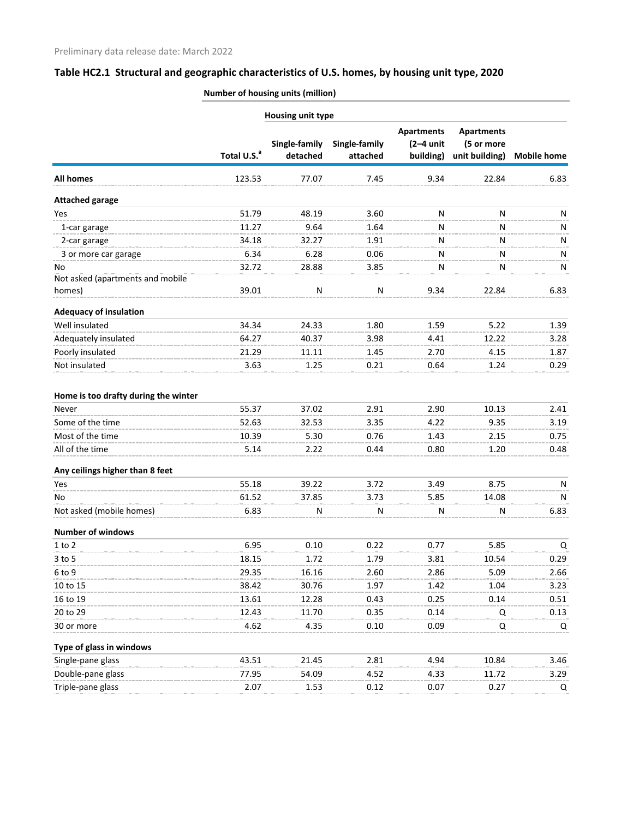| <b>Number of housing units (million)</b> |  |
|------------------------------------------|--|
|                                          |  |

|                                            |                         | <b>Housing unit type</b>  |                           |                                               |                                                   |                    |
|--------------------------------------------|-------------------------|---------------------------|---------------------------|-----------------------------------------------|---------------------------------------------------|--------------------|
|                                            | Total U.S. <sup>a</sup> | Single-family<br>detached | Single-family<br>attached | <b>Apartments</b><br>$(2-4$ unit<br>building) | <b>Apartments</b><br>(5 or more<br>unit building) | <b>Mobile home</b> |
| <b>All homes</b>                           | 123.53                  | 77.07                     | 7.45                      | 9.34                                          | 22.84                                             | 6.83               |
| <b>Attached garage</b>                     |                         |                           |                           |                                               |                                                   |                    |
| Yes                                        | 51.79                   | 48.19                     | 3.60                      | N                                             | N                                                 | N                  |
| 1-car garage                               | 11.27                   | 9.64                      | 1.64                      | Ν                                             | N                                                 | N                  |
| 2-car garage                               | 34.18                   | 32.27                     | 1.91                      | Ν                                             | N                                                 | N                  |
| 3 or more car garage                       | 6.34                    | 6.28                      | 0.06                      | Ν                                             | N                                                 | N                  |
| No                                         | 32.72                   | 28.88                     | 3.85                      | Ν                                             | N                                                 | N                  |
| Not asked (apartments and mobile<br>homes) | 39.01                   | ${\sf N}$                 | ${\sf N}$                 | 9.34                                          | 22.84                                             | 6.83               |
| <b>Adequacy of insulation</b>              |                         |                           |                           |                                               |                                                   |                    |
| Well insulated                             | 34.34                   | 24.33                     | 1.80                      | 1.59                                          | 5.22                                              | 1.39               |
| Adequately insulated                       | 64.27                   | 40.37                     | 3.98                      | 4.41                                          | 12.22                                             | 3.28               |
| Poorly insulated                           | 21.29                   | 11.11                     | 1.45                      | 2.70                                          | 4.15                                              | 1.87               |
| Not insulated                              | 3.63                    | 1.25                      | 0.21                      | 0.64                                          | 1.24                                              | 0.29               |
| Home is too drafty during the winter       |                         |                           |                           |                                               |                                                   |                    |
| Never                                      | 55.37                   | 37.02                     | 2.91                      | 2.90                                          | 10.13                                             | 2.41               |
| Some of the time                           | 52.63                   | 32.53                     | 3.35                      | 4.22                                          | 9.35                                              | 3.19               |
| Most of the time                           | 10.39                   | 5.30                      | 0.76                      | 1.43                                          | 2.15                                              | 0.75               |
| All of the time                            | 5.14                    | 2.22                      | 0.44                      | 0.80                                          | 1.20                                              | 0.48               |
| Any ceilings higher than 8 feet            |                         |                           |                           |                                               |                                                   |                    |
| Yes                                        | 55.18                   | 39.22                     | 3.72                      | 3.49                                          | 8.75                                              | N                  |
| No                                         | 61.52                   | 37.85                     | 3.73                      | 5.85                                          | 14.08                                             | N                  |
| Not asked (mobile homes)                   | 6.83                    | N                         | N                         | N                                             | N                                                 | 6.83               |
| <b>Number of windows</b>                   |                         |                           |                           |                                               |                                                   |                    |
| $1$ to $2$                                 | 6.95                    | 0.10                      | 0.22                      | 0.77                                          | 5.85                                              | Q                  |
| $3$ to $5$                                 | 18.15                   | 1.72                      | 1.79                      | 3.81                                          | 10.54                                             | 0.29               |
| 6 to 9                                     | 29.35                   | 16.16                     | 2.60                      | 2.86                                          | 5.09                                              | 2.66               |
| 10 to 15                                   | 38.42                   | 30.76                     | 1.97                      | 1.42                                          | 1.04                                              | 3.23               |
| 16 to 19                                   | 13.61                   | 12.28                     | 0.43                      | 0.25                                          | 0.14                                              | 0.51               |
| 20 to 29                                   | 12.43                   | 11.70                     | 0.35                      | 0.14                                          | Q                                                 | 0.13               |
| 30 or more                                 | 4.62                    | 4.35                      | 0.10                      | 0.09                                          | Q                                                 | Q                  |
| Type of glass in windows                   |                         |                           |                           |                                               |                                                   |                    |
| Single-pane glass                          | 43.51                   | 21.45                     | 2.81                      | 4.94                                          | 10.84                                             | 3.46               |
| Double-pane glass                          | 77.95                   | 54.09                     | 4.52                      | 4.33                                          | 11.72                                             | 3.29               |
| Triple-pane glass                          | 2.07                    | 1.53                      | 0.12                      | 0.07                                          | 0.27                                              | Q                  |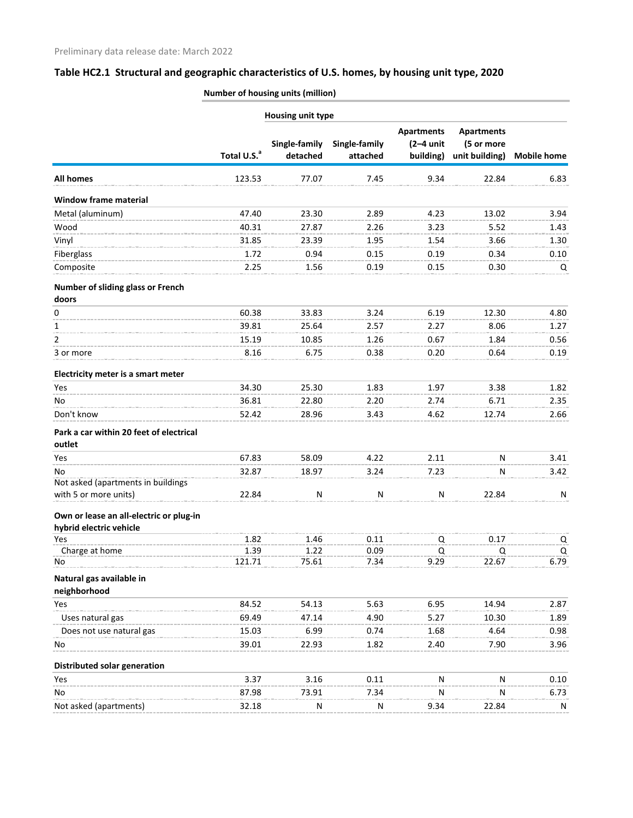| <b>Number of housing units (million)</b> |
|------------------------------------------|
|                                          |

|                                                                    |                         | Housing unit type         |                           |                                               |                                                   |                         |
|--------------------------------------------------------------------|-------------------------|---------------------------|---------------------------|-----------------------------------------------|---------------------------------------------------|-------------------------|
|                                                                    | Total U.S. <sup>a</sup> | Single-family<br>detached | Single-family<br>attached | <b>Apartments</b><br>$(2-4$ unit<br>building) | <b>Apartments</b><br>(5 or more<br>unit building) | <b>Mobile home</b>      |
| <b>All homes</b>                                                   | 123.53                  | 77.07                     | 7.45                      | 9.34                                          | 22.84                                             | 6.83                    |
| <b>Window frame material</b>                                       |                         |                           |                           |                                               |                                                   |                         |
| Metal (aluminum)                                                   | 47.40                   | 23.30                     | 2.89                      | 4.23                                          | 13.02                                             | 3.94                    |
| Wood                                                               | 40.31                   | 27.87                     | 2.26                      | 3.23                                          | 5.52                                              | 1.43                    |
| Vinyl                                                              | 31.85                   | 23.39                     | 1.95                      | 1.54                                          | 3.66                                              | 1.30                    |
| Fiberglass                                                         | 1.72                    | 0.94                      | 0.15                      | 0.19                                          | 0.34                                              | 0.10                    |
| Composite                                                          | 2.25                    | 1.56                      | 0.19                      | 0.15                                          | 0.30                                              | Q                       |
| Number of sliding glass or French<br>doors                         |                         |                           |                           |                                               |                                                   |                         |
| 0                                                                  | 60.38                   | 33.83                     | 3.24                      | 6.19                                          | 12.30                                             | 4.80                    |
| 1                                                                  | 39.81                   | 25.64                     | 2.57                      | 2.27                                          | 8.06                                              | 1.27                    |
| 2                                                                  | 15.19                   | 10.85                     | 1.26                      | 0.67                                          | 1.84                                              | 0.56                    |
| 3 or more                                                          | 8.16                    | 6.75                      | 0.38                      | 0.20                                          | 0.64                                              | 0.19                    |
|                                                                    |                         |                           |                           |                                               |                                                   |                         |
| Electricity meter is a smart meter                                 |                         |                           |                           |                                               |                                                   |                         |
| Yes                                                                | 34.30                   | 25.30                     | 1.83                      | 1.97                                          | 3.38                                              | 1.82                    |
| No                                                                 | 36.81                   | 22.80                     | 2.20                      | 2.74                                          | 6.71                                              | 2.35                    |
| Don't know                                                         | 52.42                   | 28.96                     | 3.43                      | 4.62                                          | 12.74                                             | 2.66                    |
| Park a car within 20 feet of electrical<br>outlet                  |                         |                           |                           |                                               |                                                   |                         |
| Yes                                                                | 67.83                   | 58.09                     | 4.22                      | 2.11                                          | N                                                 | 3.41                    |
| No                                                                 | 32.87                   | 18.97                     | 3.24                      | 7.23                                          | N                                                 | 3.42                    |
| Not asked (apartments in buildings                                 |                         |                           |                           |                                               |                                                   |                         |
| with 5 or more units)                                              | 22.84                   | N                         | N                         | N                                             | 22.84                                             | N                       |
| Own or lease an all-electric or plug-in<br>hybrid electric vehicle |                         |                           |                           |                                               |                                                   |                         |
| Yes                                                                | 1.82                    | 1.46                      | 0.11                      | Q                                             | 0.17                                              | $\overline{\mathsf{C}}$ |
| Charge at home                                                     | 1.39                    | 1.22                      | 0.09                      | Q                                             | Q                                                 | Q                       |
| No                                                                 | 121.71                  | 75.61                     | 7.34                      | 9.29                                          | 22.67                                             | 6.79                    |
| Natural gas available in<br>neighborhood                           |                         |                           |                           |                                               |                                                   |                         |
| Yes                                                                | 84.52                   | 54.13                     | 5.63                      | 6.95                                          | 14.94                                             | 2.87                    |
| Uses natural gas                                                   | 69.49                   | 47.14                     | 4.90                      | 5.27                                          | 10.30                                             | 1.89                    |
| Does not use natural gas                                           | 15.03                   | 6.99                      | 0.74                      | 1.68                                          | 4.64                                              | 0.98                    |
| No                                                                 | 39.01                   | 22.93                     | 1.82                      | 2.40                                          | 7.90                                              | 3.96                    |
| <b>Distributed solar generation</b>                                |                         |                           |                           |                                               |                                                   |                         |
| Yes                                                                | 3.37                    | 3.16                      | 0.11                      | N                                             | N                                                 | 0.10                    |
| No                                                                 | 87.98                   | 73.91                     | 7.34                      | N                                             | Ν                                                 | 6.73                    |
| Not asked (apartments)                                             | 32.18                   | N                         | N                         | 9.34                                          | 22.84                                             | N                       |
|                                                                    |                         |                           |                           |                                               |                                                   |                         |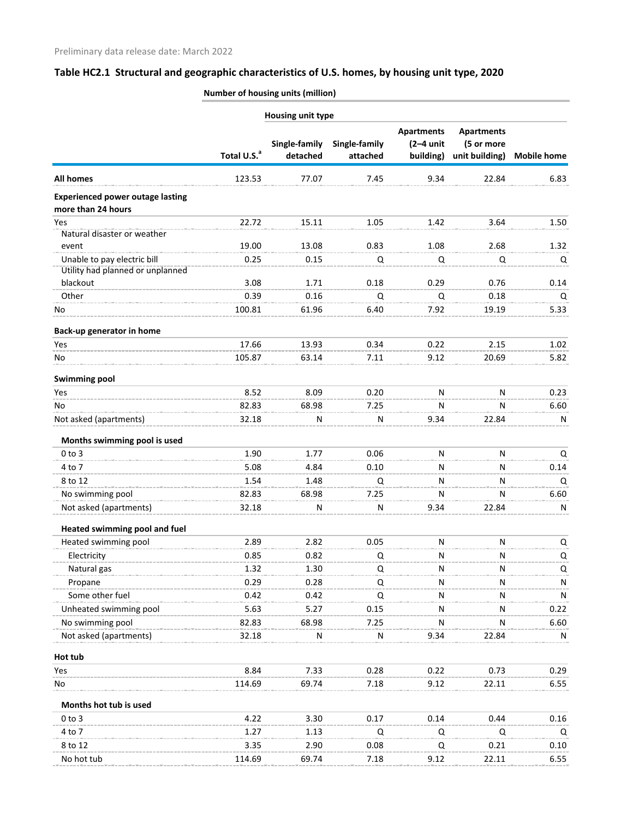**Number of housing units (million)**

|                                                               |                         | Housing unit type         |                           |                                               |                                                   |                    |
|---------------------------------------------------------------|-------------------------|---------------------------|---------------------------|-----------------------------------------------|---------------------------------------------------|--------------------|
|                                                               | Total U.S. <sup>a</sup> | Single-family<br>detached | Single-family<br>attached | <b>Apartments</b><br>$(2-4$ unit<br>building) | <b>Apartments</b><br>(5 or more<br>unit building) | <b>Mobile home</b> |
| <b>All homes</b>                                              | 123.53                  | 77.07                     | 7.45                      | 9.34                                          | 22.84                                             | 6.83               |
| <b>Experienced power outage lasting</b><br>more than 24 hours |                         |                           |                           |                                               |                                                   |                    |
| Yes                                                           | 22.72                   | 15.11                     | 1.05                      | 1.42                                          | 3.64                                              | 1.50               |
| Natural disaster or weather                                   |                         |                           |                           |                                               |                                                   |                    |
| event                                                         | 19.00                   | 13.08                     | 0.83                      | 1.08                                          | 2.68                                              | 1.32               |
| Unable to pay electric bill                                   | 0.25                    | 0.15                      | Q                         | Q                                             | Q                                                 | Q                  |
| Utility had planned or unplanned                              |                         |                           |                           |                                               |                                                   |                    |
| blackout                                                      | 3.08                    | 1.71                      | 0.18                      | 0.29                                          | 0.76                                              | 0.14               |
| Other                                                         | 0.39                    | 0.16                      | Q                         | Q                                             | 0.18                                              | Q                  |
| No                                                            | 100.81                  | 61.96                     | 6.40                      | 7.92                                          | 19.19                                             | 5.33               |
| Back-up generator in home                                     |                         |                           |                           |                                               |                                                   |                    |
| Yes                                                           | 17.66                   | 13.93                     | 0.34                      | 0.22                                          | 2.15                                              | 1.02               |
| No                                                            | 105.87                  | 63.14                     | 7.11                      | 9.12                                          | 20.69                                             | 5.82               |
| <b>Swimming pool</b>                                          |                         |                           |                           |                                               |                                                   |                    |
| Yes                                                           | 8.52                    | 8.09                      | 0.20                      | N                                             | N                                                 | 0.23               |
| No                                                            | 82.83                   | 68.98                     | 7.25                      | Ν                                             | N                                                 | 6.60               |
| Not asked (apartments)                                        | 32.18                   | N                         | N                         | 9.34                                          | 22.84                                             | N                  |
| Months swimming pool is used                                  |                         |                           |                           |                                               |                                                   |                    |
| $0$ to $3$                                                    | 1.90                    | 1.77                      | 0.06                      | N                                             | N                                                 | Q                  |
| 4 to 7                                                        | 5.08                    | 4.84                      | 0.10                      | Ν                                             | N                                                 | 0.14               |
| 8 to 12                                                       | 1.54                    | 1.48                      | Q                         | N                                             | N                                                 | Q                  |
| No swimming pool                                              | 82.83                   | 68.98                     | 7.25                      | N                                             | N                                                 | 6.60               |
| Not asked (apartments)                                        | 32.18                   | N                         | N                         | 9.34                                          | 22.84                                             | N                  |
| Heated swimming pool and fuel                                 |                         |                           |                           |                                               |                                                   |                    |
| Heated swimming pool                                          | 2.89                    | 2.82                      | 0.05                      | ${\sf N}$                                     | N                                                 | Q                  |
| Electricity                                                   | 0.85                    | 0.82                      | Q                         | Ν                                             | N                                                 | Q                  |
| Natural gas                                                   | 1.32                    | 1.30                      | Q                         | Ν                                             |                                                   | Q                  |
| Propane                                                       | 0.29                    | 0.28                      | Q                         | Ν                                             | N                                                 | N                  |
| Some other fuel                                               | 0.42                    | 0.42                      | Q                         | ${\sf N}$                                     | N                                                 | ${\sf N}$          |
| Unheated swimming pool                                        | 5.63                    | 5.27                      | 0.15                      | Ν                                             |                                                   | 0.22               |
| No swimming pool                                              | 82.83                   | 68.98                     | 7.25                      | Ν                                             |                                                   | 6.60               |
| Not asked (apartments)                                        | 32.18                   | N                         | N                         | 9.34                                          | 22.84                                             | N                  |
| Hot tub                                                       |                         |                           |                           |                                               |                                                   |                    |
| Yes                                                           | 8.84                    | 7.33                      | 0.28                      | 0.22                                          | 0.73                                              | 0.29               |
| No                                                            | 114.69                  | 69.74                     | 7.18                      | 9.12                                          | 22.11                                             | 6.55               |
| Months hot tub is used                                        |                         |                           |                           |                                               |                                                   |                    |
| $0$ to $3$                                                    | 4.22                    | 3.30                      | 0.17                      | 0.14                                          | 0.44                                              | 0.16               |
| 4 to 7                                                        | 1.27                    | 1.13                      | Q                         | Q                                             | Q                                                 | Q                  |
| 8 to 12                                                       | 3.35                    | 2.90                      | 0.08                      | Q                                             | 0.21                                              | 0.10               |
| No hot tub                                                    | 114.69                  | 69.74                     | 7.18                      | 9.12                                          | 22.11                                             | 6.55               |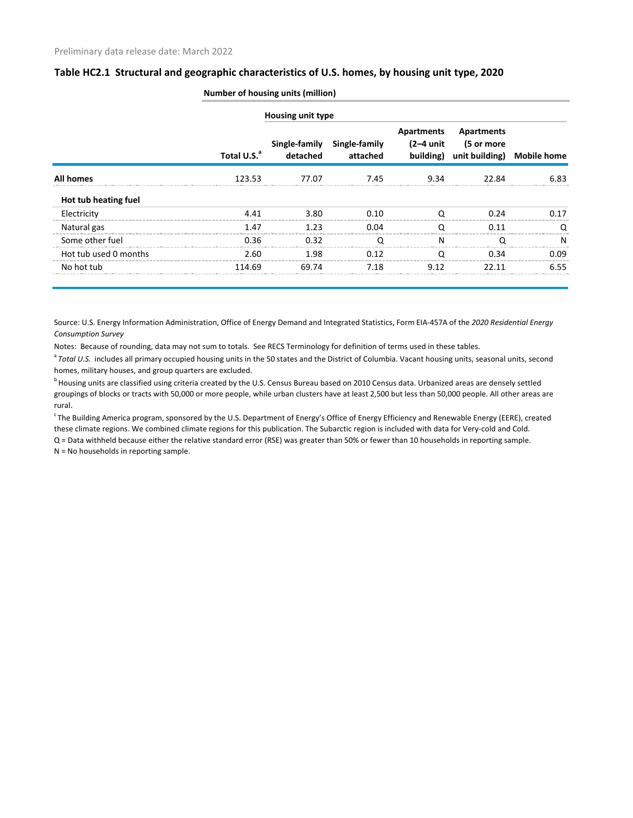|                       | <b>Number of housing units (million)</b> |                          |                                         |                                      |                                                               |      |  |
|-----------------------|------------------------------------------|--------------------------|-----------------------------------------|--------------------------------------|---------------------------------------------------------------|------|--|
|                       |                                          | <b>Housing unit type</b> |                                         |                                      |                                                               |      |  |
|                       | Total U.S. <sup>a</sup>                  | detached                 | Single-family Single-family<br>attached | Apartments<br>(2–4 unit<br>building) | <b>Apartments</b><br>(5 or more<br>unit building) Mobile home |      |  |
| All homes             | 123.53                                   | 77.07                    | 7.45                                    | 9.34                                 | 22 R4                                                         | 6.83 |  |
| Hot tub heating fuel  |                                          |                          |                                         |                                      |                                                               |      |  |
| Electricity           | 4.41                                     | 3.80                     | 0.10                                    |                                      | 0.24                                                          | 0.17 |  |
| Natural gas           | 1.47                                     | 1.23                     | 0.04                                    |                                      | በ 11                                                          |      |  |
| Some other fuel       | 0.36                                     | 0.32                     | ∩                                       | N                                    | ∩                                                             | N    |  |
| Hot tub used 0 months | 2.60                                     | 1.98                     | 0.12                                    |                                      | በ 34                                                          | 0.09 |  |
| No hot tub            | 114.69                                   | 69.74                    | 7.18                                    | 9.12                                 | 77 11                                                         | 6.55 |  |

Source: U.S. Energy Information Administration, Office of Energy Demand and Integrated Statistics, Form EIA-457A of the *2020 Residential Energy Consumption Survey*

Notes: Because of rounding, data may not sum to totals. See RECS Terminology for definition of terms used in these tables.

<sup>a</sup> Total U.S. includes all primary occupied housing units in the 50 states and the District of Columbia. Vacant housing units, seasonal units, second homes, military houses, and group quarters are excluded.

<sup>b</sup> Housing units are classified using criteria created by the U.S. Census Bureau based on 2010 Census data. Urbanized areas are densely settled groupings of blocks or tracts with 50,000 or more people, while urban clusters have at least 2,500 but less than 50,000 people. All other areas are rural.

<sup>c</sup> The Building America program, sponsored by the U.S. Department of Energy's Office of Energy Efficiency and Renewable Energy (EERE), created these climate regions. We combined climate regions for this publication. The Subarctic region is included with data for Very-cold and Cold. Q = Data withheld because either the relative standard error (RSE) was greater than 50% or fewer than 10 households in reporting sample.

N = No households in reporting sample.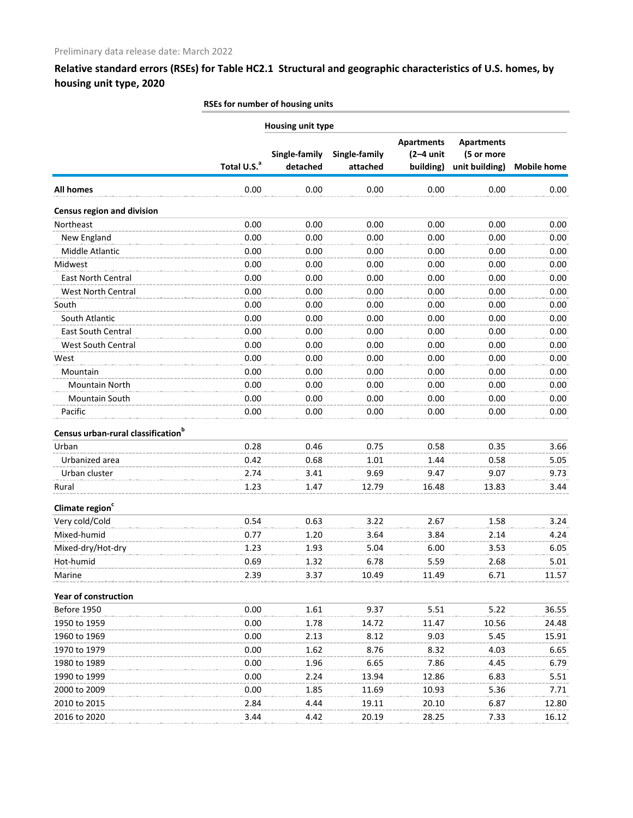|                                                |                         | Housing unit type         |                           |                                               |                                                   |                    |
|------------------------------------------------|-------------------------|---------------------------|---------------------------|-----------------------------------------------|---------------------------------------------------|--------------------|
|                                                | Total U.S. <sup>a</sup> | Single-family<br>detached | Single-family<br>attached | <b>Apartments</b><br>$(2-4$ unit<br>building) | <b>Apartments</b><br>(5 or more<br>unit building) | <b>Mobile home</b> |
| <b>All homes</b>                               | 0.00                    | 0.00                      | 0.00                      | 0.00                                          | 0.00                                              | 0.00               |
| <b>Census region and division</b>              |                         |                           |                           |                                               |                                                   |                    |
| Northeast                                      | 0.00                    | 0.00                      | 0.00                      | 0.00                                          | 0.00                                              | 0.00               |
| New England                                    | 0.00                    | 0.00                      | 0.00                      | 0.00                                          | 0.00                                              | 0.00               |
| Middle Atlantic                                | 0.00                    | 0.00                      | 0.00                      | 0.00                                          | 0.00                                              | 0.00               |
| Midwest                                        | 0.00                    | 0.00                      | 0.00                      | 0.00                                          | 0.00                                              | 0.00               |
| <b>East North Central</b>                      | 0.00                    | 0.00                      | 0.00                      | 0.00                                          | 0.00                                              | 0.00               |
| West North Central                             | 0.00                    | 0.00                      | 0.00                      | 0.00                                          | 0.00                                              | 0.00               |
| South                                          | 0.00                    | 0.00                      | 0.00                      | 0.00                                          | 0.00                                              | 0.00               |
| South Atlantic                                 | 0.00                    | 0.00                      | 0.00                      | 0.00                                          | 0.00                                              | 0.00               |
| <b>East South Central</b>                      | 0.00                    | 0.00                      | 0.00                      | 0.00                                          | 0.00                                              | 0.00               |
| <b>West South Central</b>                      | 0.00                    | 0.00                      | 0.00                      | 0.00                                          | 0.00                                              | 0.00               |
| West                                           | 0.00                    | 0.00                      | 0.00                      | 0.00                                          | 0.00                                              | 0.00               |
| Mountain                                       | 0.00                    | 0.00                      | 0.00                      | 0.00                                          | 0.00                                              | 0.00               |
| <b>Mountain North</b>                          | 0.00                    | 0.00                      | 0.00                      | 0.00                                          | 0.00                                              | 0.00               |
| Mountain South                                 | 0.00                    | 0.00                      | 0.00                      | 0.00                                          | 0.00                                              | 0.00               |
| Pacific                                        | 0.00                    | 0.00                      | 0.00                      | 0.00                                          | 0.00                                              | 0.00               |
| Census urban-rural classification <sup>b</sup> |                         |                           |                           |                                               |                                                   |                    |
| Urban                                          | 0.28                    | 0.46                      | 0.75                      | 0.58                                          | 0.35                                              | 3.66               |
| Urbanized area                                 | 0.42                    | 0.68                      | 1.01                      | 1.44                                          | 0.58                                              | 5.05               |
| Urban cluster                                  | 2.74                    | 3.41                      | 9.69                      | 9.47                                          | 9.07                                              | 9.73               |
| Rural                                          | 1.23                    | 1.47                      | 12.79                     | 16.48                                         | 13.83                                             | 3.44               |
| Climate region <sup>c</sup>                    |                         |                           |                           |                                               |                                                   |                    |
| Very cold/Cold                                 | 0.54                    | 0.63                      | 3.22                      | 2.67                                          | 1.58                                              | 3.24               |
| Mixed-humid                                    | 0.77                    | 1.20                      | 3.64                      | 3.84                                          | 2.14                                              | 4.24               |
| Mixed-dry/Hot-dry                              | 1.23                    | 1.93                      | 5.04                      | 6.00                                          | 3.53                                              | 6.05               |
| Hot-humid                                      | 0.69                    | 1.32                      | 6.78                      | 5.59                                          | 2.68                                              | 5.01               |
| Marine                                         | 2.39                    | 3.37                      | 10.49                     | 11.49                                         | 6.71                                              | 11.57              |
| Year of construction                           |                         |                           |                           |                                               |                                                   |                    |
| Before 1950                                    | 0.00                    | 1.61                      | 9.37                      | 5.51                                          | 5.22                                              | 36.55              |
| 1950 to 1959                                   | 0.00                    | 1.78                      | 14.72                     | 11.47                                         | 10.56                                             | 24.48              |
| 1960 to 1969                                   | 0.00                    | 2.13                      | 8.12                      | 9.03                                          | 5.45                                              | 15.91              |
| 1970 to 1979                                   | 0.00                    | 1.62                      | 8.76                      | 8.32                                          | 4.03                                              | 6.65               |
| 1980 to 1989                                   | 0.00                    | 1.96                      | 6.65                      | 7.86                                          | 4.45                                              | 6.79               |
| 1990 to 1999                                   | 0.00                    | 2.24                      | 13.94                     | 12.86                                         | 6.83                                              | 5.51               |
| 2000 to 2009                                   | 0.00                    | 1.85                      | 11.69                     | 10.93                                         | 5.36                                              | 7.71               |
| 2010 to 2015                                   | 2.84                    | 4.44                      | 19.11                     | 20.10                                         | 6.87                                              | 12.80              |
| 2016 to 2020                                   | 3.44                    | 4.42                      | 20.19                     | 28.25                                         | 7.33                                              | 16.12              |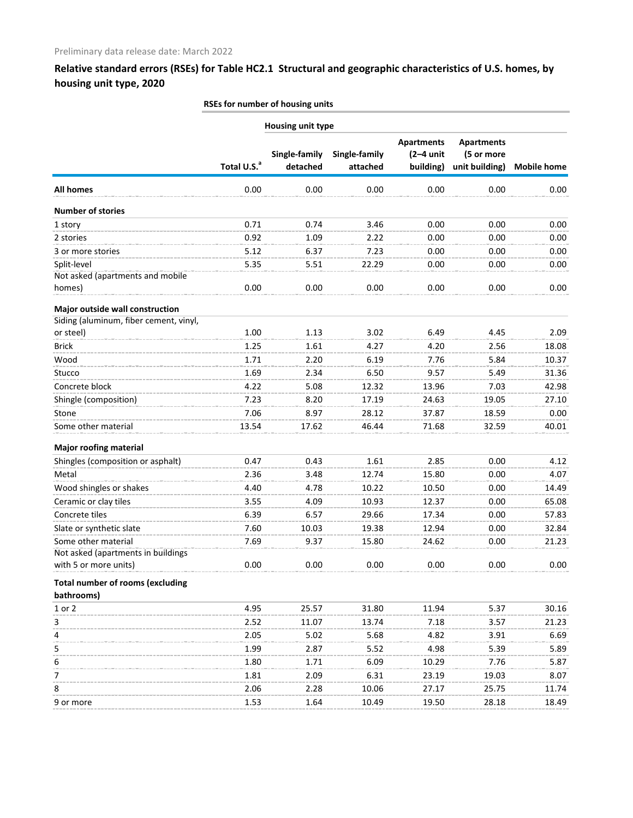| Housing unit type                       |                         |                           |                           |                                               |                                                   |                    |
|-----------------------------------------|-------------------------|---------------------------|---------------------------|-----------------------------------------------|---------------------------------------------------|--------------------|
|                                         | Total U.S. <sup>a</sup> | Single-family<br>detached | Single-family<br>attached | <b>Apartments</b><br>$(2-4$ unit<br>building) | <b>Apartments</b><br>(5 or more<br>unit building) | <b>Mobile home</b> |
| <b>All homes</b>                        | 0.00                    | 0.00                      | 0.00                      | 0.00                                          | 0.00                                              | 0.00               |
| <b>Number of stories</b>                |                         |                           |                           |                                               |                                                   |                    |
| 1 story                                 | 0.71                    | 0.74                      | 3.46                      | 0.00                                          | 0.00                                              | 0.00               |
| 2 stories                               | 0.92                    | 1.09                      | 2.22                      | 0.00                                          | 0.00                                              | 0.00               |
| 3 or more stories                       | 5.12                    | 6.37                      | 7.23                      | 0.00                                          | 0.00                                              | 0.00               |
| Split-level                             | 5.35                    | 5.51                      | 22.29                     | 0.00                                          | 0.00                                              | 0.00               |
| Not asked (apartments and mobile        |                         |                           |                           |                                               |                                                   |                    |
| homes)                                  | 0.00                    | 0.00                      | 0.00                      | 0.00                                          | 0.00                                              | 0.00               |
| Major outside wall construction         |                         |                           |                           |                                               |                                                   |                    |
| Siding (aluminum, fiber cement, vinyl,  |                         |                           |                           |                                               |                                                   |                    |
| or steel)                               | 1.00                    | 1.13                      | 3.02                      | 6.49                                          | 4.45                                              | 2.09               |
| <b>Brick</b>                            | 1.25                    | 1.61                      | 4.27                      | 4.20                                          | 2.56                                              | 18.08              |
| Wood                                    | 1.71                    | 2.20                      | 6.19                      | 7.76                                          | 5.84                                              | 10.37              |
| Stucco                                  | 1.69                    | 2.34                      | 6.50                      | 9.57                                          | 5.49                                              | 31.36              |
| Concrete block                          | 4.22                    | 5.08                      | 12.32                     | 13.96                                         | 7.03                                              | 42.98              |
| Shingle (composition)                   | 7.23                    | 8.20                      | 17.19                     | 24.63                                         | 19.05                                             | 27.10              |
| Stone                                   | 7.06                    | 8.97                      | 28.12                     | 37.87                                         | 18.59                                             | 0.00               |
| Some other material                     | 13.54                   | 17.62                     | 46.44                     | 71.68                                         | 32.59                                             | 40.01              |
| <b>Major roofing material</b>           |                         |                           |                           |                                               |                                                   |                    |
| Shingles (composition or asphalt)       | 0.47                    | 0.43                      | 1.61                      | 2.85                                          | 0.00                                              | 4.12               |
| Metal                                   | 2.36                    | 3.48                      | 12.74                     | 15.80                                         | 0.00                                              | 4.07               |
| Wood shingles or shakes                 | 4.40                    | 4.78                      | 10.22                     | 10.50                                         | 0.00                                              | 14.49              |
| Ceramic or clay tiles                   | 3.55                    | 4.09                      | 10.93                     | 12.37                                         | 0.00                                              | 65.08              |
| Concrete tiles                          | 6.39                    | 6.57                      | 29.66                     | 17.34                                         | 0.00                                              | 57.83              |
| Slate or synthetic slate                | 7.60                    | 10.03                     | 19.38                     | 12.94                                         | 0.00                                              | 32.84              |
| Some other material                     | 7.69                    | 9.37                      | 15.80                     | 24.62                                         | 0.00                                              | 21.23              |
| Not asked (apartments in buildings      |                         |                           |                           |                                               |                                                   |                    |
| with 5 or more units)                   | 0.00                    | 0.00                      | 0.00                      | 0.00                                          | 0.00                                              | 0.00               |
| <b>Total number of rooms (excluding</b> |                         |                           |                           |                                               |                                                   |                    |
| bathrooms)                              |                         |                           |                           |                                               |                                                   |                    |
| 1 or 2                                  | 4.95                    | 25.57                     | 31.80                     | 11.94                                         | 5.37                                              | 30.16              |
| 3                                       | 2.52                    | 11.07                     | 13.74                     | 7.18                                          | 3.57                                              | 21.23              |
| 4                                       | 2.05                    | 5.02                      | 5.68                      | 4.82                                          | 3.91                                              | 6.69               |
| 5                                       | 1.99                    | 2.87                      | 5.52                      | 4.98                                          | 5.39                                              | 5.89               |
| 6                                       | 1.80                    | 1.71                      | 6.09                      | 10.29                                         | 7.76                                              | 5.87               |
| 7                                       | 1.81                    | 2.09                      | 6.31                      | 23.19                                         | 19.03                                             | 8.07               |
| 8                                       | 2.06                    | 2.28                      | 10.06                     | 27.17                                         | 25.75                                             | 11.74              |
| 9 or more                               | 1.53                    | 1.64                      | 10.49                     | 19.50                                         | 28.18                                             | 18.49              |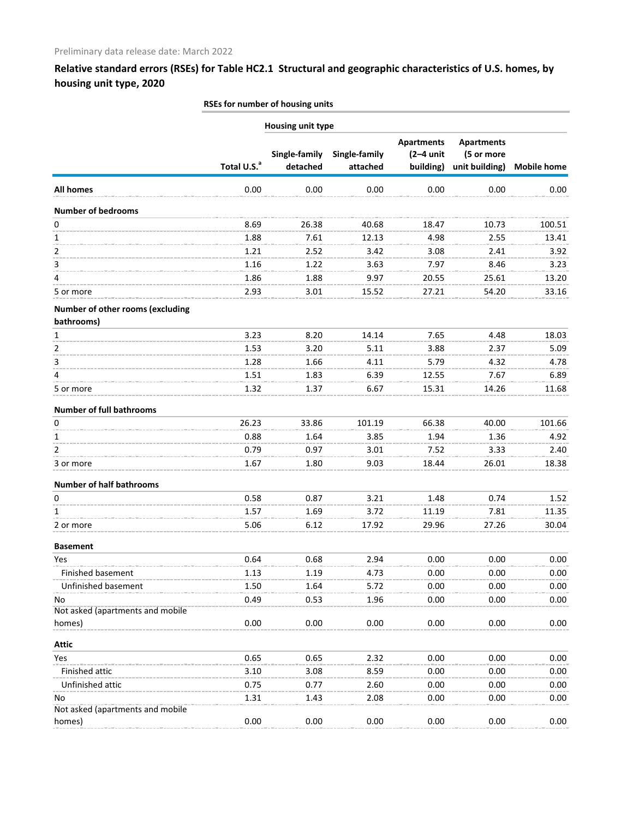|                                                | <b>Housing unit type</b> |                           |                           |                                               |                                                   |                    |
|------------------------------------------------|--------------------------|---------------------------|---------------------------|-----------------------------------------------|---------------------------------------------------|--------------------|
|                                                | Total U.S. <sup>a</sup>  | Single-family<br>detached | Single-family<br>attached | <b>Apartments</b><br>$(2-4$ unit<br>building) | <b>Apartments</b><br>(5 or more<br>unit building) | <b>Mobile home</b> |
| <b>All homes</b>                               | 0.00                     | 0.00                      | 0.00                      | 0.00                                          | 0.00                                              | 0.00               |
| <b>Number of bedrooms</b>                      |                          |                           |                           |                                               |                                                   |                    |
| 0                                              | 8.69                     | 26.38                     | 40.68                     | 18.47                                         | 10.73                                             | 100.51             |
| 1                                              | 1.88                     | 7.61                      | 12.13                     | 4.98                                          | 2.55                                              | 13.41              |
| 2                                              | 1.21                     | 2.52                      | 3.42                      | 3.08                                          | 2.41                                              | 3.92               |
| 3                                              | 1.16                     | 1.22                      | 3.63                      | 7.97                                          | 8.46                                              | 3.23               |
| 4                                              | 1.86                     | 1.88                      | 9.97                      | 20.55                                         | 25.61                                             | 13.20              |
| 5 or more                                      | 2.93                     | 3.01                      | 15.52                     | 27.21                                         | 54.20                                             | 33.16              |
| Number of other rooms (excluding<br>bathrooms) |                          |                           |                           |                                               |                                                   |                    |
| 1                                              | 3.23                     | 8.20                      | 14.14                     | 7.65                                          | 4.48                                              | 18.03              |
| 2                                              | 1.53                     | 3.20                      | 5.11                      | 3.88                                          | 2.37                                              | 5.09               |
| 3                                              | 1.28                     | 1.66                      | 4.11                      | 5.79                                          | 4.32                                              | 4.78               |
| 4                                              | 1.51                     | 1.83                      | 6.39                      | 12.55                                         | 7.67                                              | 6.89               |
| 5 or more                                      | 1.32                     | 1.37                      | 6.67                      | 15.31                                         | 14.26                                             | 11.68              |
| <b>Number of full bathrooms</b>                |                          |                           |                           |                                               |                                                   |                    |
| 0                                              | 26.23                    | 33.86                     | 101.19                    | 66.38                                         | 40.00                                             | 101.66             |
| 1                                              | 0.88                     | 1.64                      | 3.85                      | 1.94                                          | 1.36                                              | 4.92               |
| 2                                              | 0.79                     | 0.97                      | 3.01                      | 7.52                                          | 3.33                                              | 2.40               |
| 3 or more                                      | 1.67                     | 1.80                      | 9.03                      | 18.44                                         | 26.01                                             | 18.38              |
| <b>Number of half bathrooms</b>                |                          |                           |                           |                                               |                                                   |                    |
| 0                                              | 0.58                     | 0.87                      | 3.21                      | 1.48                                          | 0.74                                              | 1.52               |
| 1                                              | 1.57                     | 1.69                      | 3.72                      | 11.19                                         | 7.81                                              | 11.35              |
| 2 or more                                      | 5.06                     | 6.12                      | 17.92                     | 29.96                                         | 27.26                                             | 30.04              |
| <b>Basement</b>                                |                          |                           |                           |                                               |                                                   |                    |
| Yes                                            | 0.64                     | 0.68                      | 2.94                      | 0.00                                          | 0.00                                              | 0.00               |
| Finished basement                              | 1.13                     | 1.19                      | 4.73                      | 0.00                                          | 0.00                                              | 0.00               |
| Unfinished basement                            | 1.50                     | 1.64                      | 5.72                      | 0.00                                          | 0.00                                              | 0.00               |
| No                                             | 0.49                     | 0.53                      | 1.96                      | 0.00                                          | 0.00                                              | 0.00               |
| Not asked (apartments and mobile               |                          |                           |                           |                                               |                                                   |                    |
| homes)                                         | 0.00                     | 0.00                      | 0.00                      | 0.00                                          | 0.00                                              | 0.00               |
| <b>Attic</b>                                   |                          |                           |                           |                                               |                                                   |                    |
| Yes                                            | 0.65                     | 0.65                      | 2.32                      | 0.00                                          | 0.00                                              | 0.00               |
| Finished attic                                 | 3.10                     | 3.08                      | 8.59                      | 0.00                                          | 0.00                                              | 0.00               |
| Unfinished attic                               | 0.75                     | 0.77                      | 2.60                      | 0.00                                          | 0.00                                              | 0.00               |
| No                                             | 1.31                     | 1.43                      | 2.08                      | 0.00                                          | 0.00                                              | 0.00               |
| Not asked (apartments and mobile               |                          |                           |                           |                                               |                                                   |                    |
| homes)                                         | 0.00                     | 0.00                      | 0.00                      | 0.00                                          | 0.00                                              | 0.00               |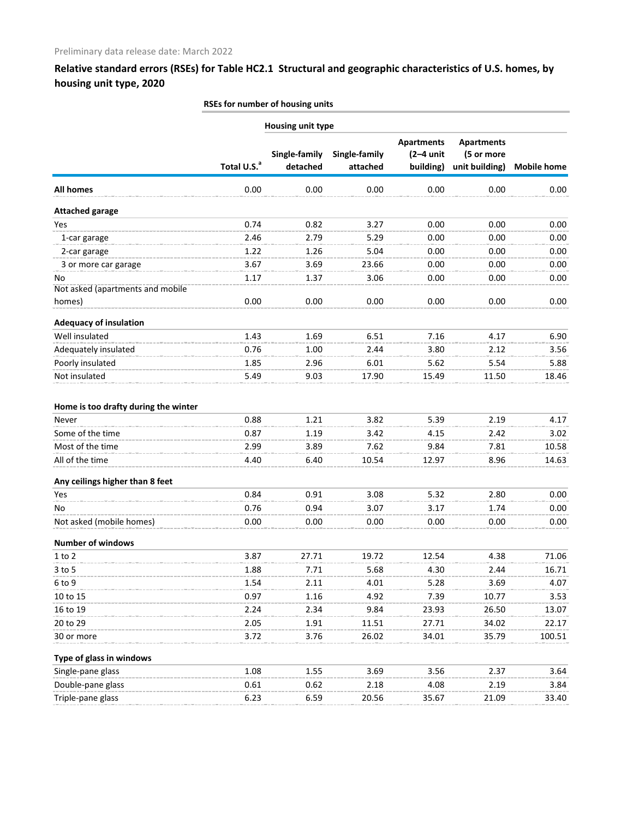|                                      | Housing unit type       |                           |                           |                                               |                                                   |                    |
|--------------------------------------|-------------------------|---------------------------|---------------------------|-----------------------------------------------|---------------------------------------------------|--------------------|
|                                      | Total U.S. <sup>a</sup> | Single-family<br>detached | Single-family<br>attached | <b>Apartments</b><br>$(2-4$ unit<br>building) | <b>Apartments</b><br>(5 or more<br>unit building) | <b>Mobile home</b> |
| <b>All homes</b>                     | 0.00                    | 0.00                      | 0.00                      | 0.00                                          | 0.00                                              | 0.00               |
| <b>Attached garage</b>               |                         |                           |                           |                                               |                                                   |                    |
| Yes                                  | 0.74                    | 0.82                      | 3.27                      | 0.00                                          | 0.00                                              | 0.00               |
| 1-car garage                         | 2.46                    | 2.79                      | 5.29                      | 0.00                                          | 0.00                                              | 0.00               |
| 2-car garage                         | 1.22                    | 1.26                      | 5.04                      | 0.00                                          | 0.00                                              | 0.00               |
| 3 or more car garage                 | 3.67                    | 3.69                      | 23.66                     | 0.00                                          | 0.00                                              | 0.00               |
| No                                   | 1.17                    | 1.37                      | 3.06                      | 0.00                                          | 0.00                                              | 0.00               |
| Not asked (apartments and mobile     |                         |                           |                           |                                               |                                                   |                    |
| homes)                               | 0.00                    | 0.00                      | 0.00                      | 0.00                                          | 0.00                                              | 0.00               |
| <b>Adequacy of insulation</b>        |                         |                           |                           |                                               |                                                   |                    |
| Well insulated                       | 1.43                    | 1.69                      | 6.51                      | 7.16                                          | 4.17                                              | 6.90               |
| Adequately insulated                 | 0.76                    | 1.00                      | 2.44                      | 3.80                                          | 2.12                                              | 3.56               |
| Poorly insulated                     | 1.85                    | 2.96                      | 6.01                      | 5.62                                          | 5.54                                              | 5.88               |
| Not insulated                        | 5.49                    | 9.03                      | 17.90                     | 15.49                                         | 11.50                                             | 18.46              |
| Home is too drafty during the winter |                         |                           |                           |                                               |                                                   |                    |
| Never                                | 0.88                    | 1.21                      | 3.82                      | 5.39                                          | 2.19                                              | 4.17               |
| Some of the time                     | 0.87                    | 1.19                      | 3.42                      | 4.15                                          | 2.42                                              | 3.02               |
| Most of the time                     | 2.99                    | 3.89                      | 7.62                      | 9.84                                          | 7.81                                              | 10.58              |
| All of the time                      | 4.40                    | 6.40                      | 10.54                     | 12.97                                         | 8.96                                              | 14.63              |
| Any ceilings higher than 8 feet      |                         |                           |                           |                                               |                                                   |                    |
| Yes                                  | 0.84                    | 0.91                      | 3.08                      | 5.32                                          | 2.80                                              | 0.00               |
| No                                   | 0.76                    | 0.94                      | 3.07                      | 3.17                                          | 1.74                                              | 0.00               |
| Not asked (mobile homes)             | 0.00                    | 0.00                      | 0.00                      | 0.00                                          | 0.00                                              | 0.00               |
| <b>Number of windows</b>             |                         |                           |                           |                                               |                                                   |                    |
| $1$ to $2$                           | 3.87                    | 27.71                     | 19.72                     | 12.54                                         | 4.38                                              | 71.06              |
| $3$ to 5                             | 1.88                    | 7.71                      | 5.68                      | 4.30                                          | 2.44                                              | 16.71              |
| 6 to 9                               | 1.54                    | 2.11                      | 4.01                      | 5.28                                          | 3.69                                              | 4.07               |
| 10 to 15                             | 0.97                    | 1.16                      | 4.92                      | 7.39                                          | 10.77                                             | 3.53               |
| 16 to 19                             | 2.24                    | 2.34                      | 9.84                      | 23.93                                         | 26.50                                             | 13.07              |
| 20 to 29                             | 2.05                    | 1.91                      | 11.51                     | 27.71                                         | 34.02                                             | 22.17              |
| 30 or more                           | 3.72                    | 3.76                      | 26.02                     | 34.01                                         | 35.79                                             | 100.51             |
| Type of glass in windows             |                         |                           |                           |                                               |                                                   |                    |
| Single-pane glass                    | 1.08                    | 1.55                      | 3.69                      | 3.56                                          | 2.37                                              | 3.64               |
| Double-pane glass                    | 0.61                    | 0.62                      | 2.18                      | 4.08                                          | 2.19                                              | 3.84               |
| Triple-pane glass                    | 6.23                    | 6.59                      | 20.56                     | 35.67                                         | 21.09                                             | 33.40              |
|                                      |                         |                           |                           |                                               |                                                   |                    |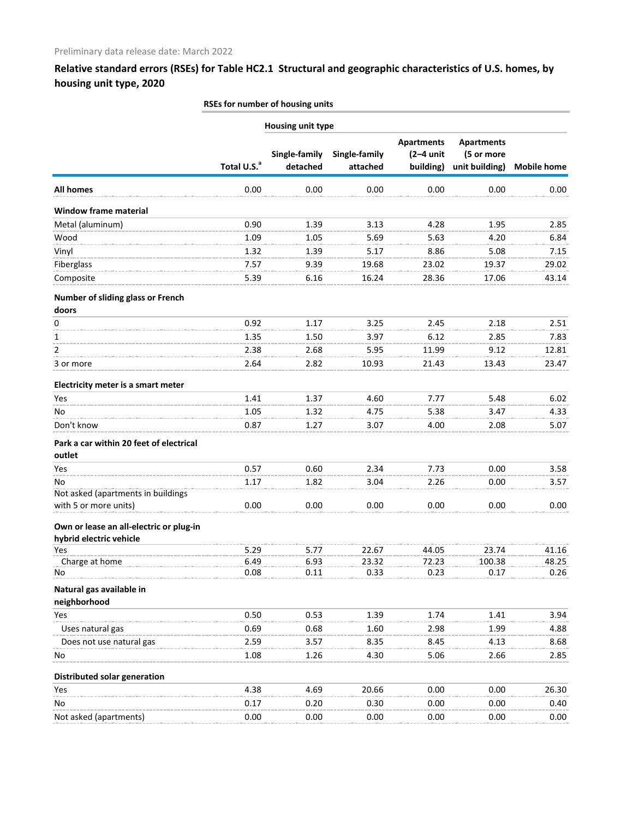|                                                                    | <b>Housing unit type</b> |                           |                           |                                               |                                                   |                    |
|--------------------------------------------------------------------|--------------------------|---------------------------|---------------------------|-----------------------------------------------|---------------------------------------------------|--------------------|
|                                                                    | Total U.S. <sup>a</sup>  | Single-family<br>detached | Single-family<br>attached | <b>Apartments</b><br>$(2-4$ unit<br>building) | <b>Apartments</b><br>(5 or more<br>unit building) | <b>Mobile home</b> |
| <b>All homes</b>                                                   | 0.00                     | 0.00                      | 0.00                      | 0.00                                          | 0.00                                              | 0.00               |
| <b>Window frame material</b>                                       |                          |                           |                           |                                               |                                                   |                    |
| Metal (aluminum)                                                   | 0.90                     | 1.39                      | 3.13                      | 4.28                                          | 1.95                                              | 2.85               |
| Wood                                                               | 1.09                     | 1.05                      | 5.69                      | 5.63                                          | 4.20                                              | 6.84               |
| Vinyl                                                              | 1.32                     | 1.39                      | 5.17                      | 8.86                                          | 5.08                                              | 7.15               |
| Fiberglass                                                         | 7.57                     | 9.39                      | 19.68                     | 23.02                                         | 19.37                                             | 29.02              |
| Composite                                                          | 5.39                     | 6.16                      | 16.24                     | 28.36                                         | 17.06                                             | 43.14              |
| Number of sliding glass or French<br>doors                         |                          |                           |                           |                                               |                                                   |                    |
| 0                                                                  | 0.92                     | 1.17                      | 3.25                      | 2.45                                          | 2.18                                              | 2.51               |
| 1                                                                  | 1.35                     | 1.50                      | 3.97                      | 6.12                                          | 2.85                                              | 7.83               |
| 2                                                                  | 2.38                     | 2.68                      | 5.95                      | 11.99                                         | 9.12                                              | 12.81              |
| 3 or more                                                          | 2.64                     | 2.82                      | 10.93                     | 21.43                                         | 13.43                                             | 23.47              |
| Electricity meter is a smart meter                                 |                          |                           |                           |                                               |                                                   |                    |
| Yes                                                                | 1.41                     | 1.37                      | 4.60                      | 7.77                                          | 5.48                                              | 6.02               |
| No                                                                 | 1.05                     | 1.32                      | 4.75                      | 5.38                                          | 3.47                                              | 4.33               |
| Don't know                                                         | 0.87                     | 1.27                      | 3.07                      | 4.00                                          | 2.08                                              | 5.07               |
| Park a car within 20 feet of electrical                            |                          |                           |                           |                                               |                                                   |                    |
| outlet                                                             |                          |                           |                           |                                               |                                                   |                    |
| Yes                                                                | 0.57                     | 0.60                      | 2.34                      | 7.73                                          | 0.00                                              | 3.58               |
| No<br>Not asked (apartments in buildings                           | 1.17                     | 1.82                      | 3.04                      | 2.26                                          | 0.00                                              | 3.57               |
| with 5 or more units)                                              | 0.00                     | 0.00                      | 0.00                      | 0.00                                          | 0.00                                              | 0.00               |
| Own or lease an all-electric or plug-in<br>hybrid electric vehicle |                          |                           |                           |                                               |                                                   |                    |
| Yes                                                                | 5.29                     | 5.77                      | 22.67                     | 44.05                                         | 23.74                                             | 41.16              |
| Charge at home                                                     | 6.49                     | 6.93                      | 23.32                     | 72.23                                         | 100.38                                            | 48.25              |
| No                                                                 | 0.08                     | 0.11                      | 0.33                      | 0.23                                          | 0.17                                              | 0.26               |
| Natural gas available in<br>neighborhood                           |                          |                           |                           |                                               |                                                   |                    |
| Yes                                                                | 0.50                     | 0.53                      | 1.39                      | 1.74                                          | 1.41                                              | 3.94               |
| Uses natural gas                                                   | 0.69                     | 0.68                      | 1.60                      | 2.98                                          | 1.99                                              | 4.88               |
| Does not use natural gas                                           | 2.59                     | 3.57                      | 8.35                      | 8.45                                          | 4.13                                              | 8.68               |
| No                                                                 | 1.08                     | 1.26                      | 4.30                      | 5.06                                          | 2.66                                              | 2.85               |
| Distributed solar generation                                       |                          |                           |                           |                                               |                                                   |                    |
| Yes                                                                | 4.38                     | 4.69                      | 20.66                     | 0.00                                          | 0.00                                              | 26.30              |
| No                                                                 | 0.17                     | 0.20                      | 0.30                      | 0.00                                          | 0.00                                              | 0.40               |
| Not asked (apartments)                                             | 0.00                     | 0.00                      | 0.00                      | 0.00                                          | 0.00                                              | 0.00               |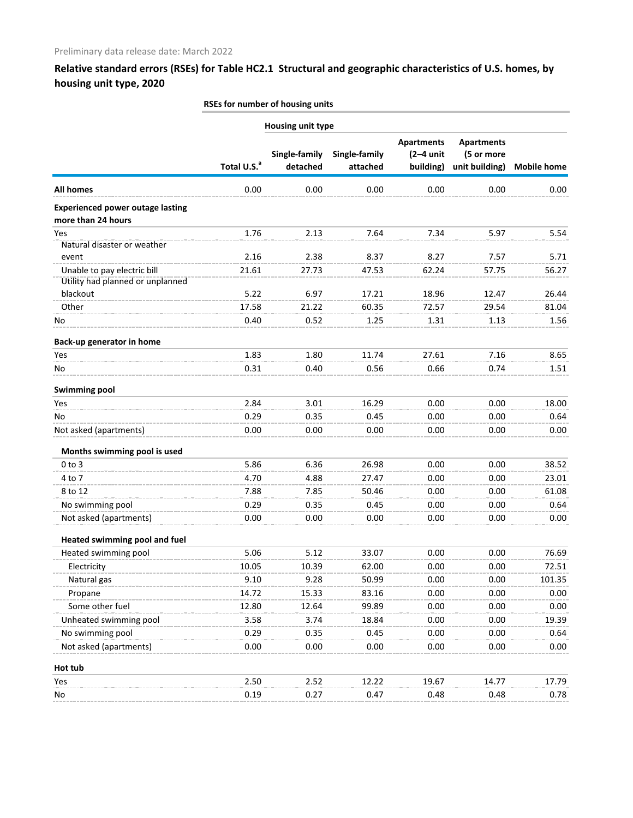|                                                               |                         | <b>Housing unit type</b>  |                           |                                               |                                                   |                    |
|---------------------------------------------------------------|-------------------------|---------------------------|---------------------------|-----------------------------------------------|---------------------------------------------------|--------------------|
|                                                               | Total U.S. <sup>a</sup> | Single-family<br>detached | Single-family<br>attached | <b>Apartments</b><br>$(2-4$ unit<br>building) | <b>Apartments</b><br>(5 or more<br>unit building) | <b>Mobile home</b> |
| <b>All homes</b>                                              | 0.00                    | 0.00                      | 0.00                      | 0.00                                          | 0.00                                              | 0.00               |
| <b>Experienced power outage lasting</b><br>more than 24 hours |                         |                           |                           |                                               |                                                   |                    |
| Yes                                                           | 1.76                    | 2.13                      | 7.64                      | 7.34                                          | 5.97                                              | 5.54               |
| Natural disaster or weather                                   |                         |                           |                           |                                               |                                                   |                    |
| event                                                         | 2.16                    | 2.38                      | 8.37                      | 8.27                                          | 7.57                                              | 5.71               |
| Unable to pay electric bill                                   | 21.61                   | 27.73                     | 47.53                     | 62.24                                         | 57.75                                             | 56.27              |
| Utility had planned or unplanned                              |                         |                           |                           |                                               |                                                   |                    |
| blackout                                                      | 5.22                    | 6.97                      | 17.21                     | 18.96                                         | 12.47                                             | 26.44              |
| Other                                                         | 17.58                   | 21.22                     | 60.35                     | 72.57                                         | 29.54                                             | 81.04              |
| No                                                            | 0.40                    | 0.52                      | 1.25                      | 1.31                                          | 1.13                                              | 1.56               |
| Back-up generator in home                                     |                         |                           |                           |                                               |                                                   |                    |
| Yes                                                           | 1.83                    | 1.80                      | 11.74                     | 27.61                                         | 7.16                                              | 8.65               |
| No                                                            | 0.31                    | 0.40                      | 0.56                      | 0.66                                          | 0.74                                              | 1.51               |
| <b>Swimming pool</b>                                          |                         |                           |                           |                                               |                                                   |                    |
| Yes                                                           | 2.84                    | 3.01                      | 16.29                     | 0.00                                          | 0.00                                              | 18.00              |
| No                                                            | 0.29                    | 0.35                      | 0.45                      | 0.00                                          | 0.00                                              | 0.64               |
| Not asked (apartments)                                        | 0.00                    | 0.00                      | 0.00                      | 0.00                                          | 0.00                                              | 0.00               |
| Months swimming pool is used                                  |                         |                           |                           |                                               |                                                   |                    |
| $0$ to $3$                                                    | 5.86                    | 6.36                      | 26.98                     | 0.00                                          | 0.00                                              | 38.52              |
| 4 to 7                                                        | 4.70                    | 4.88                      | 27.47                     | 0.00                                          | 0.00                                              | 23.01              |
| 8 to 12                                                       | 7.88                    | 7.85                      | 50.46                     | 0.00                                          | 0.00                                              | 61.08              |
| No swimming pool                                              | 0.29                    | 0.35                      | 0.45                      | 0.00                                          | 0.00                                              | 0.64               |
| Not asked (apartments)                                        | 0.00                    | 0.00                      | 0.00                      | 0.00                                          | 0.00                                              | 0.00               |
| Heated swimming pool and fuel                                 |                         |                           |                           |                                               |                                                   |                    |
| Heated swimming pool                                          | 5.06                    | 5.12                      | 33.07                     | 0.00                                          | 0.00                                              | 76.69              |
| Electricity                                                   | 10.05                   | 10.39                     | 62.00                     | 0.00                                          | 0.00                                              | 72.51              |
| Natural gas                                                   | 9.10                    | 9.28                      | 50.99                     | 0.00                                          | 0.00                                              | 101.35             |
| Propane                                                       | 14.72                   | 15.33                     | 83.16                     | 0.00                                          | 0.00                                              | 0.00               |
| Some other fuel                                               | 12.80                   | 12.64                     | 99.89                     | 0.00                                          | 0.00                                              | 0.00               |
| Unheated swimming pool                                        | 3.58                    | 3.74                      | 18.84                     | 0.00                                          | 0.00                                              | 19.39              |
| No swimming pool                                              | 0.29                    | 0.35                      | 0.45                      | 0.00                                          | 0.00                                              | 0.64               |
| Not asked (apartments)                                        | 0.00                    | 0.00                      | 0.00                      | 0.00                                          | 0.00                                              | 0.00               |
| Hot tub                                                       |                         |                           |                           |                                               |                                                   |                    |
| Yes                                                           | 2.50                    | 2.52                      | 12.22                     | 19.67                                         | 14.77                                             | 17.79              |
| No                                                            | 0.19                    | 0.27                      | 0.47                      | 0.48                                          | 0.48                                              | 0.78               |
|                                                               |                         |                           |                           |                                               |                                                   |                    |